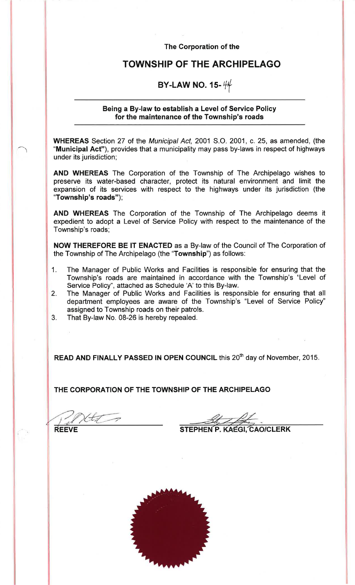The Corporation of the

## **TOWNSHIP OF THE ARCHIPELAGO**

## BY-LAW NO. 15- $44$

#### Being a By-law to establish a Level of Service Policy for the maintenance of the Township's roads

WHEREAS Section 27 of the Municipal Act, 2001 S.O. 2001, c. 25, as amended, (the "Municipal Act"), provides that a municipality may pass by-laws in respect of highways under its jurisdiction;

AND WHEREAS The Corporation of the Township of The Archipelago wishes to preserve its water-based character, protect its natural environment and limit the expansion of its services with respect to the highways under its jurisdiction (the "Township's roads");

AND WHEREAS The Corporation of the Township of The Archipelago deems it expedient to adopt a Level of Service Policy with respect to the maintenance of the Township's roads;

NOW THEREFORE BE IT ENACTED as a By-law of the Council of The Corporation of the Township of The Archipelago (the "Township") as follows:

- The Manager of Public Works and Facilities is responsible for ensuring that the  $1.$ Township's roads are maintained in accordance with the Township's "Level of Service Policy", attached as Schedule 'A' to this By-law.
- The Manager of Public Works and Facilities is responsible for ensuring that all  $2.$ department employees are aware of the Township's "Level of Service Policy" assigned to Township roads on their patrols.
- $3.$ That By-law No. 08-26 is hereby repealed.

READ AND FINALLY PASSED IN OPEN COUNCIL this 20<sup>th</sup> day of November, 2015.

THE CORPORATION OF THE TOWNSHIP OF THE ARCHIPELAGO

**REEVE** 

STEPHEN P. KAEGI CAO/CLERK

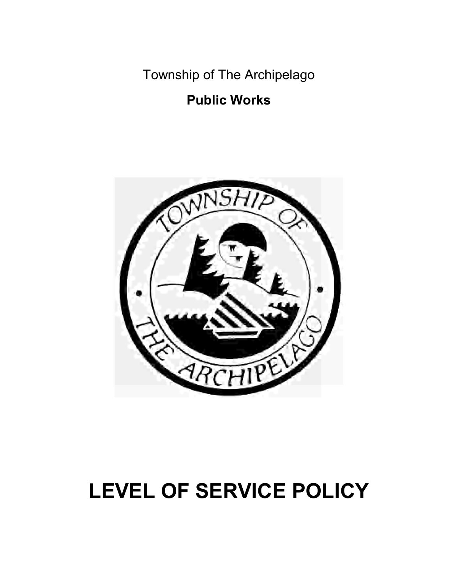Township of The Archipelago

## Public Works



# LEVEL OF SERVICE POLICY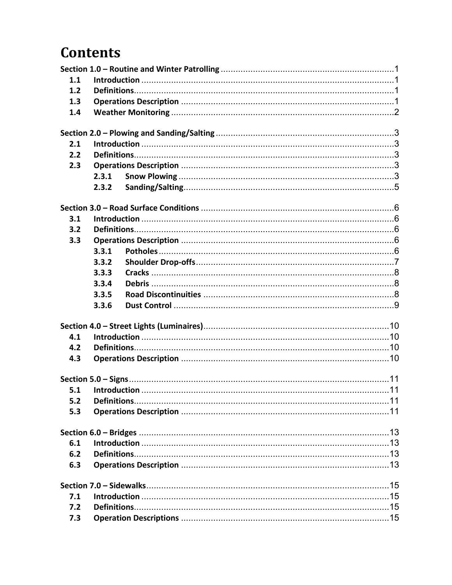## **Contents**

| 1.1 |       |  |
|-----|-------|--|
| 1.2 |       |  |
| 1.3 |       |  |
| 1.4 |       |  |
|     |       |  |
| 2.1 |       |  |
| 2.2 |       |  |
| 2.3 |       |  |
|     | 2.3.1 |  |
|     | 2.3.2 |  |
|     |       |  |
|     |       |  |
| 3.1 |       |  |
| 3.2 |       |  |
| 3.3 |       |  |
|     | 3.3.1 |  |
|     | 3.3.2 |  |
|     | 3.3.3 |  |
|     | 3.3.4 |  |
|     | 3.3.5 |  |
|     | 3.3.6 |  |
|     |       |  |
| 4.1 |       |  |
| 4.2 |       |  |
| 4.3 |       |  |
|     |       |  |
| 5.1 |       |  |
| 5.2 |       |  |
| 5.3 |       |  |
|     |       |  |
| 6.1 |       |  |
| 6.2 |       |  |
| 6.3 |       |  |
|     |       |  |
| 7.1 |       |  |
| 7.2 |       |  |
| 7.3 |       |  |
|     |       |  |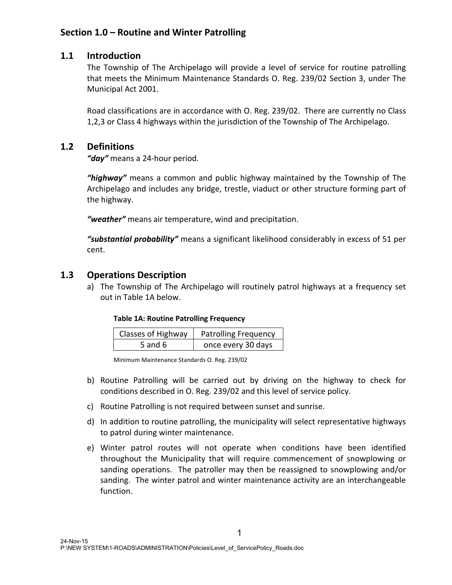## Section 1.0 – Routine and Winter Patrolling

#### 1.1 Introduction

The Township of The Archipelago will provide a level of service for routine patrolling that meets the Minimum Maintenance Standards O. Reg. 239/02 Section 3, under The Municipal Act 2001.

Road classifications are in accordance with O. Reg. 239/02. There are currently no Class 1,2,3 or Class 4 highways within the jurisdiction of the Township of The Archipelago.

#### 1.2 Definitions

*"day"* means a 24-hour period.

*"highway"* means a common and public highway maintained by the Township of The Archipelago and includes any bridge, trestle, viaduct or other structure forming part of the highway.

*"weather"* means air temperature, wind and precipitation.

*"substantial probability"* means a significant likelihood considerably in excess of 51 per cent.

#### 1.3 Operations Description

a) The Township of The Archipelago will routinely patrol highways at a frequency set out in Table 1A below.

#### Table 1A: Routine Patrolling Frequency

| <b>Classes of Highway</b> | <b>Patrolling Frequency</b> |
|---------------------------|-----------------------------|
| 5 and 6                   | once every 30 days          |

- b) Routine Patrolling will be carried out by driving on the highway to check for conditions described in O. Reg. 239/02 and this level of service policy.
- c) Routine Patrolling is not required between sunset and sunrise.
- d) In addition to routine patrolling, the municipality will select representative highways to patrol during winter maintenance.
- e) Winter patrol routes will not operate when conditions have been identified throughout the Municipality that will require commencement of snowplowing or sanding operations. The patroller may then be reassigned to snowplowing and/or sanding. The winter patrol and winter maintenance activity are an interchangeable function.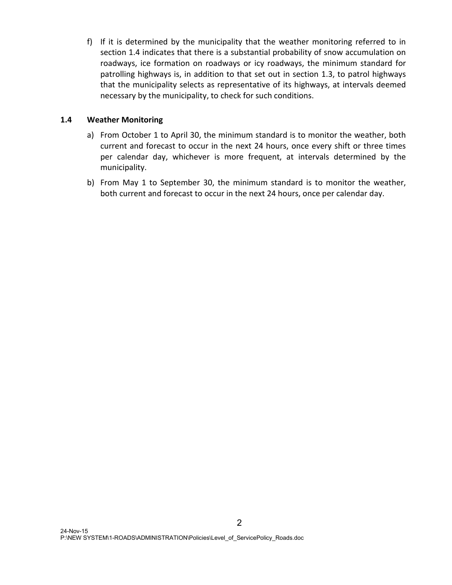f) If it is determined by the municipality that the weather monitoring referred to in section 1.4 indicates that there is a substantial probability of snow accumulation on roadways, ice formation on roadways or icy roadways, the minimum standard for patrolling highways is, in addition to that set out in section 1.3, to patrol highways that the municipality selects as representative of its highways, at intervals deemed necessary by the municipality, to check for such conditions.

#### 1.4 Weather Monitoring

- a) From October 1 to April 30, the minimum standard is to monitor the weather, both current and forecast to occur in the next 24 hours, once every shift or three times per calendar day, whichever is more frequent, at intervals determined by the municipality.
- b) From May 1 to September 30, the minimum standard is to monitor the weather, both current and forecast to occur in the next 24 hours, once per calendar day.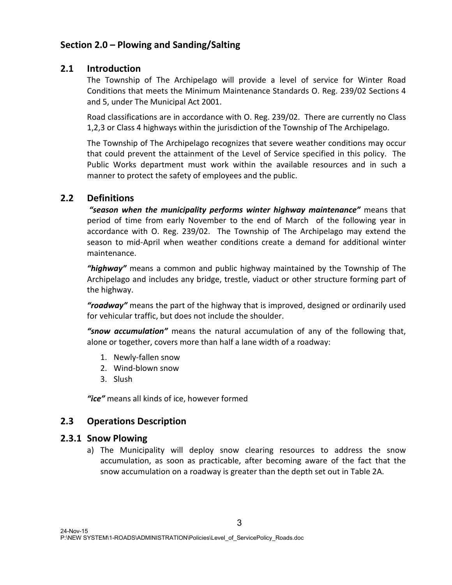## Section 2.0 – Plowing and Sanding/Salting

#### 2.1 Introduction

The Township of The Archipelago will provide a level of service for Winter Road Conditions that meets the Minimum Maintenance Standards O. Reg. 239/02 Sections 4 and 5, under The Municipal Act 2001.

Road classifications are in accordance with O. Reg. 239/02. There are currently no Class 1,2,3 or Class 4 highways within the jurisdiction of the Township of The Archipelago.

The Township of The Archipelago recognizes that severe weather conditions may occur that could prevent the attainment of the Level of Service specified in this policy. The Public Works department must work within the available resources and in such a manner to protect the safety of employees and the public.

## 2.2 Definitions

*"season when the municipality performs winter highway maintenance"* means that period of time from early November to the end of March of the following year in accordance with O. Reg. 239/02. The Township of The Archipelago may extend the season to mid-April when weather conditions create a demand for additional winter maintenance.

*"highway"* means a common and public highway maintained by the Township of The Archipelago and includes any bridge, trestle, viaduct or other structure forming part of the highway.

*"roadway"* means the part of the highway that is improved, designed or ordinarily used for vehicular traffic, but does not include the shoulder.

*"snow accumulation"* means the natural accumulation of any of the following that, alone or together, covers more than half a lane width of a roadway:

- 1. Newly-fallen snow
- 2. Wind-blown snow
- 3. Slush

*"ice"* means all kinds of ice, however formed

#### 2.3 Operations Description

#### 2.3.1 Snow Plowing

a) The Municipality will deploy snow clearing resources to address the snow accumulation, as soon as practicable, after becoming aware of the fact that the snow accumulation on a roadway is greater than the depth set out in Table 2A.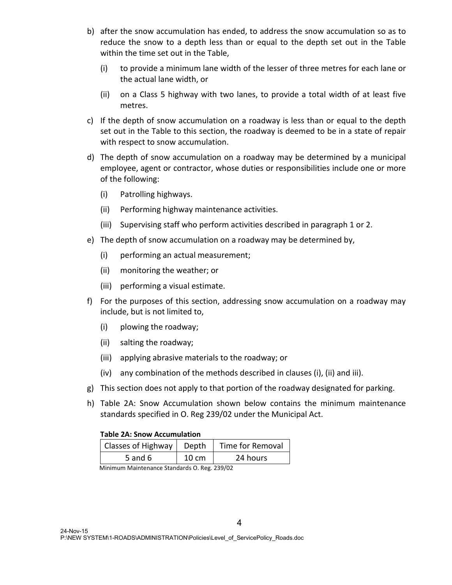- b) after the snow accumulation has ended, to address the snow accumulation so as to reduce the snow to a depth less than or equal to the depth set out in the Table within the time set out in the Table,
	- (i) to provide a minimum lane width of the lesser of three metres for each lane or the actual lane width, or
	- (ii) on a Class 5 highway with two lanes, to provide a total width of at least five metres.
- c) If the depth of snow accumulation on a roadway is less than or equal to the depth set out in the Table to this section, the roadway is deemed to be in a state of repair with respect to snow accumulation.
- d) The depth of snow accumulation on a roadway may be determined by a municipal employee, agent or contractor, whose duties or responsibilities include one or more of the following:
	- (i) Patrolling highways.
	- (ii) Performing highway maintenance activities.
	- (iii) Supervising staff who perform activities described in paragraph 1 or 2.
- e) The depth of snow accumulation on a roadway may be determined by,
	- (i) performing an actual measurement;
	- (ii) monitoring the weather; or
	- (iii) performing a visual estimate.
- f) For the purposes of this section, addressing snow accumulation on a roadway may include, but is not limited to,
	- (i) plowing the roadway;
	- (ii) salting the roadway;
	- (iii) applying abrasive materials to the roadway; or
	- (iv) any combination of the methods described in clauses (i), (ii) and iii).
- g) This section does not apply to that portion of the roadway designated for parking.
- h) Table 2A: Snow Accumulation shown below contains the minimum maintenance standards specified in O. Reg 239/02 under the Municipal Act.

#### Table 2A: Snow Accumulation

| Classes of Highway | Depth           | Time for Removal |
|--------------------|-----------------|------------------|
| 5 and 6            | $10 \text{ cm}$ | 24 hours         |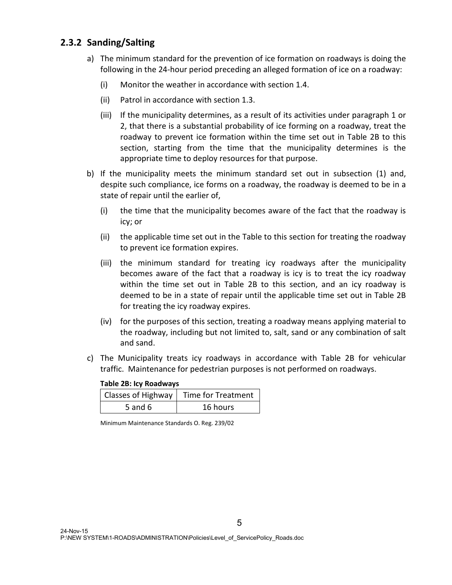### 2.3.2 Sanding/Salting

- a) The minimum standard for the prevention of ice formation on roadways is doing the following in the 24-hour period preceding an alleged formation of ice on a roadway:
	- (i) Monitor the weather in accordance with section 1.4.
	- (ii) Patrol in accordance with section 1.3.
	- (iii) If the municipality determines, as a result of its activities under paragraph 1 or 2, that there is a substantial probability of ice forming on a roadway, treat the roadway to prevent ice formation within the time set out in Table 2B to this section, starting from the time that the municipality determines is the appropriate time to deploy resources for that purpose.
- b) If the municipality meets the minimum standard set out in subsection (1) and, despite such compliance, ice forms on a roadway, the roadway is deemed to be in a state of repair until the earlier of,
	- (i) the time that the municipality becomes aware of the fact that the roadway is icy; or
	- (ii) the applicable time set out in the Table to this section for treating the roadway to prevent ice formation expires.
	- (iii) the minimum standard for treating icy roadways after the municipality becomes aware of the fact that a roadway is icy is to treat the icy roadway within the time set out in Table 2B to this section, and an icy roadway is deemed to be in a state of repair until the applicable time set out in Table 2B for treating the icy roadway expires.
	- (iv) for the purposes of this section, treating a roadway means applying material to the roadway, including but not limited to, salt, sand or any combination of salt and sand.
- c) The Municipality treats icy roadways in accordance with Table 2B for vehicular traffic. Maintenance for pedestrian purposes is not performed on roadways.

#### Table 2B: Icy Roadways

|         | Classes of Highway   Time for Treatment |
|---------|-----------------------------------------|
| 5 and 6 | 16 hours                                |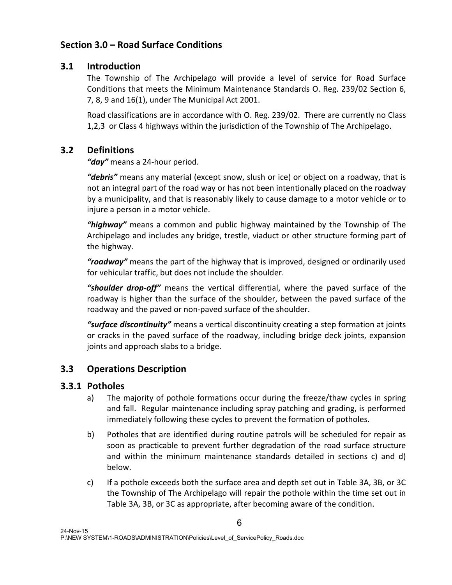## Section 3.0 – Road Surface Conditions

#### 3.1 Introduction

The Township of The Archipelago will provide a level of service for Road Surface Conditions that meets the Minimum Maintenance Standards O. Reg. 239/02 Section 6, 7, 8, 9 and 16(1), under The Municipal Act 2001.

Road classifications are in accordance with O. Reg. 239/02. There are currently no Class 1,2,3 or Class 4 highways within the jurisdiction of the Township of The Archipelago.

### 3.2 Definitions

*"day"* means a 24-hour period.

*"debris"* means any material (except snow, slush or ice) or object on a roadway, that is not an integral part of the road way or has not been intentionally placed on the roadway by a municipality, and that is reasonably likely to cause damage to a motor vehicle or to injure a person in a motor vehicle.

*"highway"* means a common and public highway maintained by the Township of The Archipelago and includes any bridge, trestle, viaduct or other structure forming part of the highway.

*"roadway"* means the part of the highway that is improved, designed or ordinarily used for vehicular traffic, but does not include the shoulder.

*"shoulder drop-off"* means the vertical differential, where the paved surface of the roadway is higher than the surface of the shoulder, between the paved surface of the roadway and the paved or non-paved surface of the shoulder.

*"surface discontinuity"* means a vertical discontinuity creating a step formation at joints or cracks in the paved surface of the roadway, including bridge deck joints, expansion joints and approach slabs to a bridge.

## 3.3 Operations Description

#### 3.3.1 Potholes

- a) The majority of pothole formations occur during the freeze/thaw cycles in spring and fall. Regular maintenance including spray patching and grading, is performed immediately following these cycles to prevent the formation of potholes.
- b) Potholes that are identified during routine patrols will be scheduled for repair as soon as practicable to prevent further degradation of the road surface structure and within the minimum maintenance standards detailed in sections c) and d) below.
- c) If a pothole exceeds both the surface area and depth set out in Table 3A, 3B, or 3C the Township of The Archipelago will repair the pothole within the time set out in Table 3A, 3B, or 3C as appropriate, after becoming aware of the condition.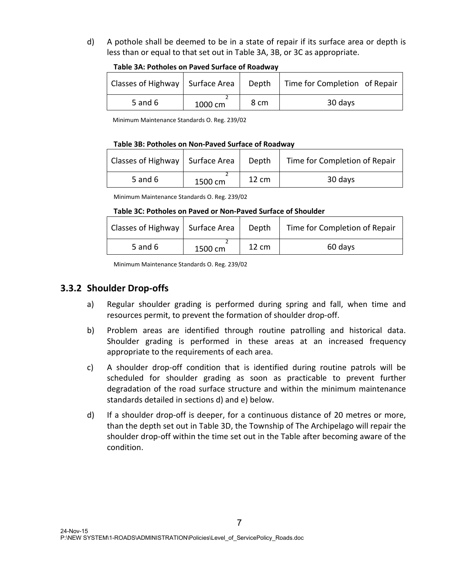d) A pothole shall be deemed to be in a state of repair if its surface area or depth is less than or equal to that set out in Table 3A, 3B, or 3C as appropriate.

| Classes of Highway   Surface Area |         |      | Depth   Time for Completion of Repair |
|-----------------------------------|---------|------|---------------------------------------|
| 5 and 6                           | 1000 cm | 8 cm | 30 days                               |

Minimum Maintenance Standards O. Reg. 239/02

#### Table 3B: Potholes on Non-Paved Surface of Roadway

| Classes of Highway   Surface Area |         | Depth           | Time for Completion of Repair |
|-----------------------------------|---------|-----------------|-------------------------------|
| 5 and $6$                         | 1500 cm | $12 \text{ cm}$ | 30 days                       |

Minimum Maintenance Standards O. Reg. 239/02

#### Table 3C: Potholes on Paved or Non-Paved Surface of Shoulder

| Classes of Highway   Surface Area   Depth |         |       | Time for Completion of Repair |
|-------------------------------------------|---------|-------|-------------------------------|
| 5 and $6$                                 | 1500 cm | 12 cm | 60 days                       |

Minimum Maintenance Standards O. Reg. 239/02

#### 3.3.2 Shoulder Drop-offs

- a) Regular shoulder grading is performed during spring and fall, when time and resources permit, to prevent the formation of shoulder drop-off.
- b) Problem areas are identified through routine patrolling and historical data. Shoulder grading is performed in these areas at an increased frequency appropriate to the requirements of each area.
- c) A shoulder drop-off condition that is identified during routine patrols will be scheduled for shoulder grading as soon as practicable to prevent further degradation of the road surface structure and within the minimum maintenance standards detailed in sections d) and e) below.
- d) If a shoulder drop-off is deeper, for a continuous distance of 20 metres or more, than the depth set out in Table 3D, the Township of The Archipelago will repair the shoulder drop-off within the time set out in the Table after becoming aware of the condition.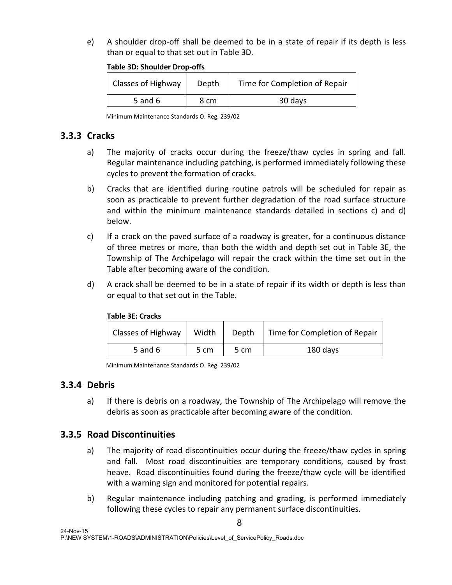e) A shoulder drop-off shall be deemed to be in a state of repair if its depth is less than or equal to that set out in Table 3D.

| <b>Table 3D: Shoulder Drop-offs</b> |  |  |  |  |
|-------------------------------------|--|--|--|--|
|-------------------------------------|--|--|--|--|

| Classes of Highway | Depth | Time for Completion of Repair |
|--------------------|-------|-------------------------------|
| 5 and 6            | 8 cm  | 30 days                       |

Minimum Maintenance Standards O. Reg. 239/02

## 3.3.3 Cracks

- a) The majority of cracks occur during the freeze/thaw cycles in spring and fall. Regular maintenance including patching, is performed immediately following these cycles to prevent the formation of cracks.
- b) Cracks that are identified during routine patrols will be scheduled for repair as soon as practicable to prevent further degradation of the road surface structure and within the minimum maintenance standards detailed in sections c) and d) below.
- c) If a crack on the paved surface of a roadway is greater, for a continuous distance of three metres or more, than both the width and depth set out in Table 3E, the Township of The Archipelago will repair the crack within the time set out in the Table after becoming aware of the condition.
- d) A crack shall be deemed to be in a state of repair if its width or depth is less than or equal to that set out in the Table.

| Classes of Highway | Width | Depth | Time for Completion of Repair |  |  |
|--------------------|-------|-------|-------------------------------|--|--|
| 5 and 6            | 5 cm  | 5 cm  | 180 days                      |  |  |

#### Table 3E: Cracks

Minimum Maintenance Standards O. Reg. 239/02

#### 3.3.4 Debris

a) If there is debris on a roadway, the Township of The Archipelago will remove the debris as soon as practicable after becoming aware of the condition.

#### 3.3.5 Road Discontinuities

- a) The majority of road discontinuities occur during the freeze/thaw cycles in spring and fall. Most road discontinuities are temporary conditions, caused by frost heave. Road discontinuities found during the freeze/thaw cycle will be identified with a warning sign and monitored for potential repairs.
- b) Regular maintenance including patching and grading, is performed immediately following these cycles to repair any permanent surface discontinuities.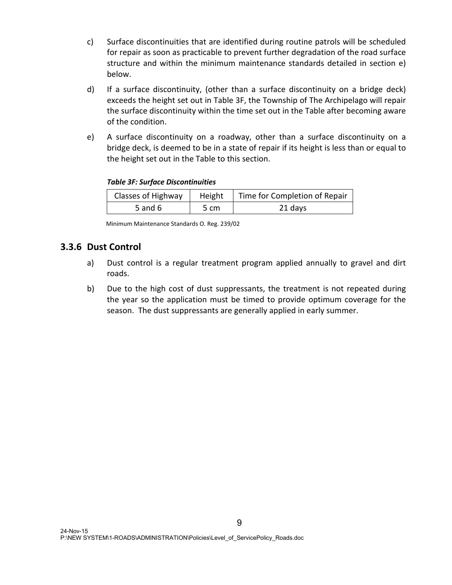- c) Surface discontinuities that are identified during routine patrols will be scheduled for repair as soon as practicable to prevent further degradation of the road surface structure and within the minimum maintenance standards detailed in section e) below.
- d) If a surface discontinuity, (other than a surface discontinuity on a bridge deck) exceeds the height set out in Table 3F, the Township of The Archipelago will repair the surface discontinuity within the time set out in the Table after becoming aware of the condition.
- e) A surface discontinuity on a roadway, other than a surface discontinuity on a bridge deck, is deemed to be in a state of repair if its height is less than or equal to the height set out in the Table to this section.

#### *Table 3F: Surface Discontinuities*

| Classes of Highway | Height | Time for Completion of Repair |
|--------------------|--------|-------------------------------|
| 5 and 6            | 5 cm   | 21 days                       |

Minimum Maintenance Standards O. Reg. 239/02

#### 3.3.6 Dust Control

- a) Dust control is a regular treatment program applied annually to gravel and dirt roads.
- b) Due to the high cost of dust suppressants, the treatment is not repeated during the year so the application must be timed to provide optimum coverage for the season. The dust suppressants are generally applied in early summer.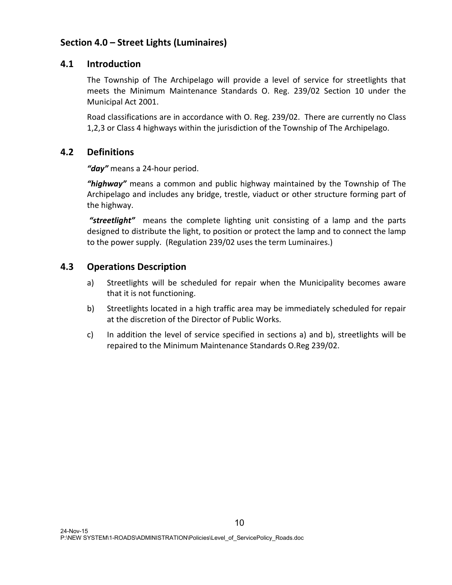## Section 4.0 – Street Lights (Luminaires)

#### 4.1 Introduction

The Township of The Archipelago will provide a level of service for streetlights that meets the Minimum Maintenance Standards O. Reg. 239/02 Section 10 under the Municipal Act 2001.

Road classifications are in accordance with O. Reg. 239/02. There are currently no Class 1,2,3 or Class 4 highways within the jurisdiction of the Township of The Archipelago.

#### 4.2 Definitions

*"day"* means a 24-hour period.

*"highway"* means a common and public highway maintained by the Township of The Archipelago and includes any bridge, trestle, viaduct or other structure forming part of the highway.

*"streetlight"* means the complete lighting unit consisting of a lamp and the parts designed to distribute the light, to position or protect the lamp and to connect the lamp to the power supply. (Regulation 239/02 uses the term Luminaires.)

#### 4.3 Operations Description

- a) Streetlights will be scheduled for repair when the Municipality becomes aware that it is not functioning.
- b) Streetlights located in a high traffic area may be immediately scheduled for repair at the discretion of the Director of Public Works.
- c) In addition the level of service specified in sections a) and b), streetlights will be repaired to the Minimum Maintenance Standards O.Reg 239/02.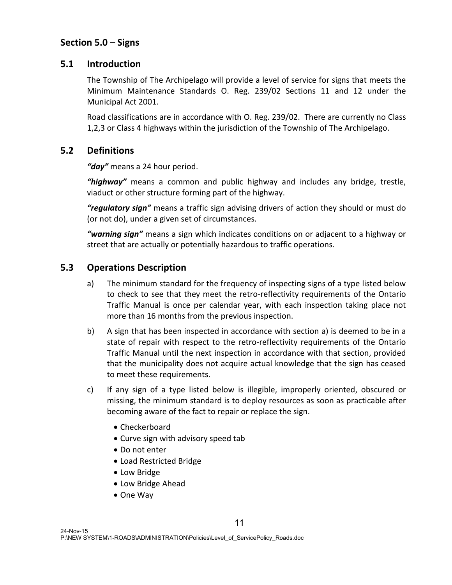### Section 5.0 – Signs

#### 5.1 Introduction

The Township of The Archipelago will provide a level of service for signs that meets the Minimum Maintenance Standards O. Reg. 239/02 Sections 11 and 12 under the Municipal Act 2001.

Road classifications are in accordance with O. Reg. 239/02. There are currently no Class 1,2,3 or Class 4 highways within the jurisdiction of the Township of The Archipelago.

#### 5.2 Definitions

*"day"* means a 24 hour period.

*"highway"* means a common and public highway and includes any bridge, trestle, viaduct or other structure forming part of the highway.

*"regulatory sign"* means a traffic sign advising drivers of action they should or must do (or not do), under a given set of circumstances.

*"warning sign"* means a sign which indicates conditions on or adjacent to a highway or street that are actually or potentially hazardous to traffic operations.

#### 5.3 Operations Description

- a) The minimum standard for the frequency of inspecting signs of a type listed below to check to see that they meet the retro-reflectivity requirements of the Ontario Traffic Manual is once per calendar year, with each inspection taking place not more than 16 months from the previous inspection.
- b) A sign that has been inspected in accordance with section a) is deemed to be in a state of repair with respect to the retro-reflectivity requirements of the Ontario Traffic Manual until the next inspection in accordance with that section, provided that the municipality does not acquire actual knowledge that the sign has ceased to meet these requirements.
- c) If any sign of a type listed below is illegible, improperly oriented, obscured or missing, the minimum standard is to deploy resources as soon as practicable after becoming aware of the fact to repair or replace the sign.
	- Checkerboard
	- Curve sign with advisory speed tab
	- Do not enter
	- Load Restricted Bridge
	- Low Bridge
	- Low Bridge Ahead
	- One Way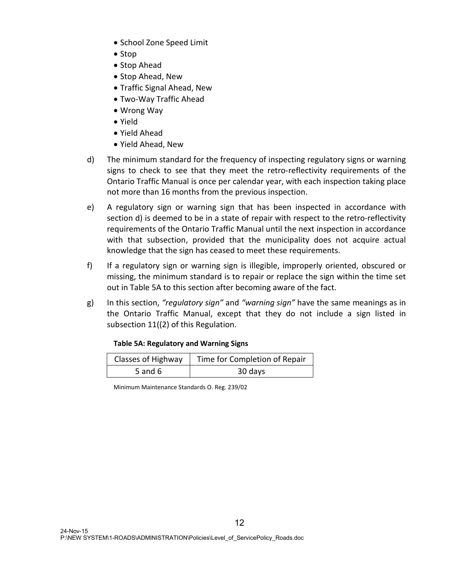- School Zone Speed Limit
- Stop
- Stop Ahead
- Stop Ahead, New
- Traffic Signal Ahead, New
- Two-Way Traffic Ahead
- Wrong Way
- Yield
- Yield Ahead
- Yield Ahead, New
- d) The minimum standard for the frequency of inspecting regulatory signs or warning signs to check to see that they meet the retro-reflectivity requirements of the Ontario Traffic Manual is once per calendar year, with each inspection taking place not more than 16 months from the previous inspection.
- e) A regulatory sign or warning sign that has been inspected in accordance with section d) is deemed to be in a state of repair with respect to the retro-reflectivity requirements of the Ontario Traffic Manual until the next inspection in accordance with that subsection, provided that the municipality does not acquire actual knowledge that the sign has ceased to meet these requirements.
- f) If a regulatory sign or warning sign is illegible, improperly oriented, obscured or missing, the minimum standard is to repair or replace the sign within the time set out in Table 5A to this section after becoming aware of the fact.
- g) In this section, *"regulatory sign"* and *"warning sign"* have the same meanings as in the Ontario Traffic Manual, except that they do not include a sign listed in subsection 11((2) of this Regulation.

#### Table 5A: Regulatory and Warning Signs

| Classes of Highway | Time for Completion of Repair |
|--------------------|-------------------------------|
| 5 and 6            | 30 days                       |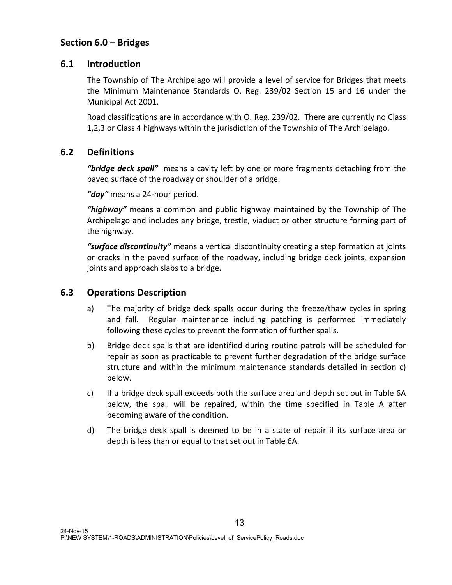## Section 6.0 – Bridges

#### 6.1 Introduction

The Township of The Archipelago will provide a level of service for Bridges that meets the Minimum Maintenance Standards O. Reg. 239/02 Section 15 and 16 under the Municipal Act 2001.

Road classifications are in accordance with O. Reg. 239/02. There are currently no Class 1,2,3 or Class 4 highways within the jurisdiction of the Township of The Archipelago.

#### 6.2 Definitions

*"bridge deck spall"* means a cavity left by one or more fragments detaching from the paved surface of the roadway or shoulder of a bridge.

*"day"* means a 24-hour period.

*"highway"* means a common and public highway maintained by the Township of The Archipelago and includes any bridge, trestle, viaduct or other structure forming part of the highway.

*"surface discontinuity"* means a vertical discontinuity creating a step formation at joints or cracks in the paved surface of the roadway, including bridge deck joints, expansion joints and approach slabs to a bridge.

#### 6.3 Operations Description

- a) The majority of bridge deck spalls occur during the freeze/thaw cycles in spring and fall. Regular maintenance including patching is performed immediately following these cycles to prevent the formation of further spalls.
- b) Bridge deck spalls that are identified during routine patrols will be scheduled for repair as soon as practicable to prevent further degradation of the bridge surface structure and within the minimum maintenance standards detailed in section c) below.
- c) If a bridge deck spall exceeds both the surface area and depth set out in Table 6A below, the spall will be repaired, within the time specified in Table A after becoming aware of the condition.
- d) The bridge deck spall is deemed to be in a state of repair if its surface area or depth is less than or equal to that set out in Table 6A.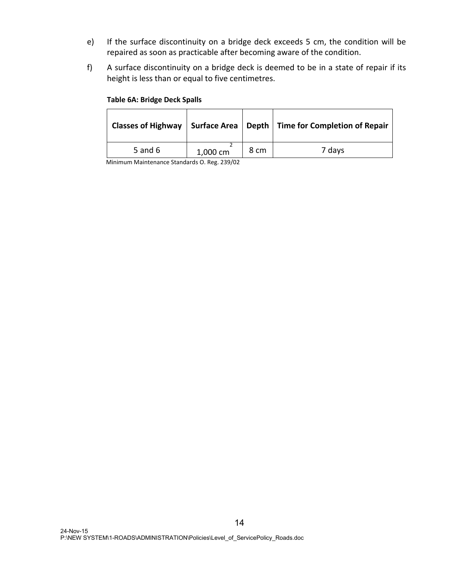- e) If the surface discontinuity on a bridge deck exceeds 5 cm, the condition will be repaired as soon as practicable after becoming aware of the condition.
- f) A surface discontinuity on a bridge deck is deemed to be in a state of repair if its height is less than or equal to five centimetres.

#### Table 6A: Bridge Deck Spalls

|         |          |      | Classes of Highway   Surface Area   Depth   Time for Completion of Repair |
|---------|----------|------|---------------------------------------------------------------------------|
| 5 and 6 | 1,000 cm | 8 cm | 7 days                                                                    |